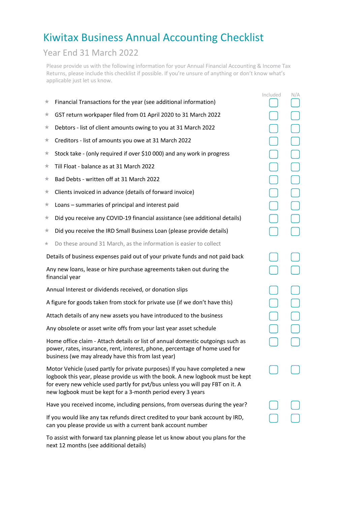## Kiwitax Business Annual Accounting Checklist

## Year End 31 March 2022

Please provide us with the following information for your Annual Financial Accounting & Income Tax Returns, please include this checklist if possible. If you're unsure of anything or don't know what's applicable just let us know.

|                                                                                                                                                                                                                                                                                                                 |                                                                                | Included | N/A |
|-----------------------------------------------------------------------------------------------------------------------------------------------------------------------------------------------------------------------------------------------------------------------------------------------------------------|--------------------------------------------------------------------------------|----------|-----|
| ★                                                                                                                                                                                                                                                                                                               | Financial Transactions for the year (see additional information)               |          |     |
| ★                                                                                                                                                                                                                                                                                                               | GST return workpaper filed from 01 April 2020 to 31 March 2022                 |          |     |
| ★                                                                                                                                                                                                                                                                                                               | Debtors - list of client amounts owing to you at 31 March 2022                 |          |     |
| ★                                                                                                                                                                                                                                                                                                               | Creditors - list of amounts you owe at 31 March 2022                           |          |     |
| ★                                                                                                                                                                                                                                                                                                               | Stock take - (only required if over \$10 000) and any work in progress         |          |     |
| ★                                                                                                                                                                                                                                                                                                               | Till Float - balance as at 31 March 2022                                       |          |     |
| ★                                                                                                                                                                                                                                                                                                               | Bad Debts - written off at 31 March 2022                                       |          |     |
| ★                                                                                                                                                                                                                                                                                                               | Clients invoiced in advance (details of forward invoice)                       |          |     |
| ★                                                                                                                                                                                                                                                                                                               | Loans - summaries of principal and interest paid                               |          |     |
| ★                                                                                                                                                                                                                                                                                                               | Did you receive any COVID-19 financial assistance (see additional details)     |          |     |
| ★                                                                                                                                                                                                                                                                                                               | Did you receive the IRD Small Business Loan (please provide details)           |          |     |
| $^{\star}$                                                                                                                                                                                                                                                                                                      | Do these around 31 March, as the information is easier to collect              |          |     |
|                                                                                                                                                                                                                                                                                                                 | Details of business expenses paid out of your private funds and not paid back  |          |     |
| Any new loans, lease or hire purchase agreements taken out during the<br>financial year                                                                                                                                                                                                                         |                                                                                |          |     |
|                                                                                                                                                                                                                                                                                                                 | Annual Interest or dividends received, or donation slips                       |          |     |
|                                                                                                                                                                                                                                                                                                                 | A figure for goods taken from stock for private use (if we don't have this)    |          |     |
| Attach details of any new assets you have introduced to the business                                                                                                                                                                                                                                            |                                                                                |          |     |
| Any obsolete or asset write offs from your last year asset schedule                                                                                                                                                                                                                                             |                                                                                |          |     |
| Home office claim - Attach details or list of annual domestic outgoings such as<br>power, rates, insurance, rent, interest, phone, percentage of home used for<br>business (we may already have this from last year)                                                                                            |                                                                                |          |     |
| Motor Vehicle (used partly for private purposes) If you have completed a new<br>logbook this year, please provide us with the book. A new logbook must be kept<br>for every new vehicle used partly for pvt/bus unless you will pay FBT on it. A<br>new logbook must be kept for a 3-month period every 3 years |                                                                                |          |     |
|                                                                                                                                                                                                                                                                                                                 | Have you received income, including pensions, from overseas during the year?   |          |     |
|                                                                                                                                                                                                                                                                                                                 | If you would like any tax refunds direct credited to your bank account by IRD, |          |     |

To assist with forward tax planning please let us know about you plans for the next 12 months (see additional details)

can you please provide us with a current bank account number